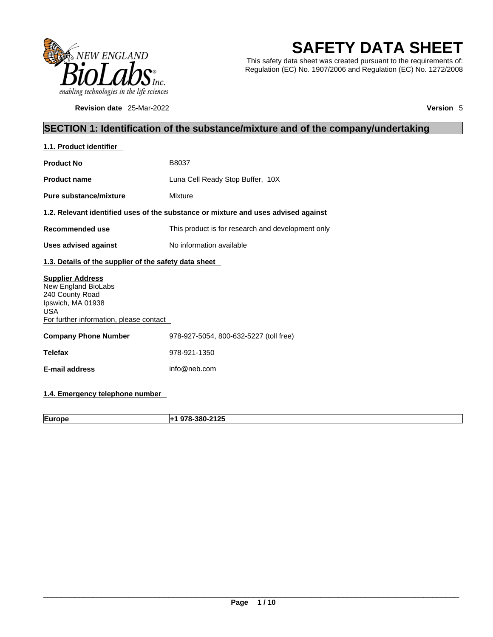

**Revision date** 25-Mar-2022 **Version** 5

# **SAFETY DATA SHEET**

This safety data sheet was created pursuant to the requirements of: Regulation (EC) No. 1907/2006 and Regulation (EC) No. 1272/2008

### **SECTION 1: Identification of the substance/mixture and of the company/undertaking**

| 1.1. Product identifier                                                                                                                         |                                                                                    |  |
|-------------------------------------------------------------------------------------------------------------------------------------------------|------------------------------------------------------------------------------------|--|
| <b>Product No</b>                                                                                                                               | B8037                                                                              |  |
| <b>Product name</b>                                                                                                                             | Luna Cell Ready Stop Buffer, 10X                                                   |  |
| <b>Pure substance/mixture</b>                                                                                                                   | Mixture                                                                            |  |
|                                                                                                                                                 | 1.2. Relevant identified uses of the substance or mixture and uses advised against |  |
| Recommended use                                                                                                                                 | This product is for research and development only                                  |  |
| Uses advised against                                                                                                                            | No information available                                                           |  |
| 1.3. Details of the supplier of the safety data sheet                                                                                           |                                                                                    |  |
| <b>Supplier Address</b><br>New England BioLabs<br>240 County Road<br>Ipswich, MA 01938<br><b>USA</b><br>For further information, please contact |                                                                                    |  |
| <b>Company Phone Number</b>                                                                                                                     | 978-927-5054, 800-632-5227 (toll free)                                             |  |
| <b>Telefax</b>                                                                                                                                  | 978-921-1350                                                                       |  |
| <b>E-mail address</b>                                                                                                                           | info@neb.com                                                                       |  |
|                                                                                                                                                 |                                                                                    |  |

### **1.4. Emergency telephone number**

**Europe +1 978-380-2125**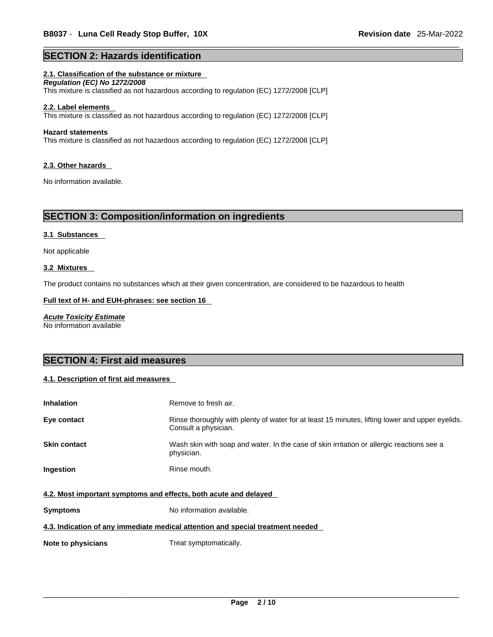#### **SECTION 2: Hazards identification**

#### **2.1. Classification of the substance or mixture**

*Regulation (EC) No 1272/2008*  This mixture is classified as not hazardous according to regulation (EC) 1272/2008 [CLP]

#### **2.2. Label elements**

This mixture is classified as not hazardous according to regulation (EC) 1272/2008 [CLP]

#### **Hazard statements**

This mixture is classified as not hazardous according to regulation (EC) 1272/2008 [CLP]

#### **2.3. Other hazards**

No information available.

### **SECTION 3: Composition/information on ingredients**

#### **3.1 Substances**

Not applicable

#### **3.2 Mixtures**

The product contains no substances which at their given concentration, are considered to be hazardous to health

#### **Full text of H- and EUH-phrases: see section 16**

*Acute Toxicity Estimate* No information available

### **SECTION 4: First aid measures**

#### **4.1. Description of first aid measures**

| <b>Inhalation</b>                                                | Remove to fresh air.                                                                                                    |  |
|------------------------------------------------------------------|-------------------------------------------------------------------------------------------------------------------------|--|
| Eye contact                                                      | Rinse thoroughly with plenty of water for at least 15 minutes, lifting lower and upper eyelids.<br>Consult a physician. |  |
| <b>Skin contact</b>                                              | Wash skin with soap and water. In the case of skin irritation or allergic reactions see a<br>physician.                 |  |
| <b>Ingestion</b>                                                 | Rinse mouth.                                                                                                            |  |
| 4.2. Most important symptoms and effects, both acute and delayed |                                                                                                                         |  |
| <b>Symptoms</b>                                                  | No information available.                                                                                               |  |

#### **4.3. Indication of any immediate medical attention and special treatment needed**

**Note to physicians** Treat symptomatically.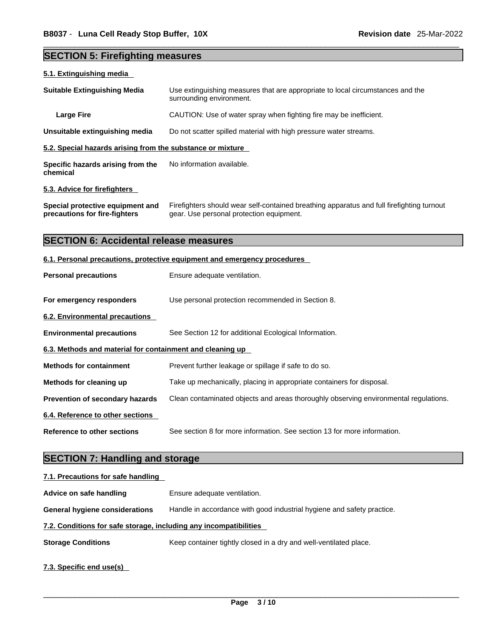# **SECTION 5: Firefighting measures**

| 5.1. Extinguishing media                                          |                                                                                                                                       |  |
|-------------------------------------------------------------------|---------------------------------------------------------------------------------------------------------------------------------------|--|
| <b>Suitable Extinguishing Media</b>                               | Use extinguishing measures that are appropriate to local circumstances and the<br>surrounding environment.                            |  |
| <b>Large Fire</b>                                                 | CAUTION: Use of water spray when fighting fire may be inefficient.                                                                    |  |
| Unsuitable extinguishing media                                    | Do not scatter spilled material with high pressure water streams.                                                                     |  |
| 5.2. Special hazards arising from the substance or mixture        |                                                                                                                                       |  |
| Specific hazards arising from the<br>chemical                     | No information available.                                                                                                             |  |
| 5.3. Advice for firefighters                                      |                                                                                                                                       |  |
| Special protective equipment and<br>precautions for fire-fighters | Firefighters should wear self-contained breathing apparatus and full firefighting turnout<br>gear. Use personal protection equipment. |  |
| <b>SECTION 6: Accidental release measures</b>                     |                                                                                                                                       |  |
|                                                                   | 6.1. Personal precautions, protective equipment and emergency procedures                                                              |  |
| <b>Personal precautions</b>                                       | Ensure adequate ventilation.                                                                                                          |  |
| For emergency responders                                          | Use personal protection recommended in Section 8.                                                                                     |  |
| <b>6.2. Environmental precautions</b>                             |                                                                                                                                       |  |
| <b>Environmental precautions</b>                                  | See Section 12 for additional Ecological Information.                                                                                 |  |
| 6.3. Methods and material for containment and cleaning up         |                                                                                                                                       |  |
| <b>Methods for containment</b>                                    | Prevent further leakage or spillage if safe to do so.                                                                                 |  |
| Methods for cleaning up                                           | Take up mechanically, placing in appropriate containers for disposal.                                                                 |  |
| Prevention of secondary hazards                                   | Clean contaminated objects and areas thoroughly observing environmental regulations.                                                  |  |
| 6.4. Reference to other sections                                  |                                                                                                                                       |  |
| <b>Reference to other sections</b>                                | See section 8 for more information. See section 13 for more information.                                                              |  |
| CECTION 7. Handling and oferage                                   |                                                                                                                                       |  |

#### **SECTION 7: Handling and storage**

| 7.1. Precautions for safe handling                                |                                                                        |  |
|-------------------------------------------------------------------|------------------------------------------------------------------------|--|
| Advice on safe handling                                           | Ensure adequate ventilation.                                           |  |
| <b>General hygiene considerations</b>                             | Handle in accordance with good industrial hygiene and safety practice. |  |
| 7.2. Conditions for safe storage, including any incompatibilities |                                                                        |  |
| <b>Storage Conditions</b>                                         | Keep container tightly closed in a dry and well-ventilated place.      |  |
| 7.3. Specific end use(s)                                          |                                                                        |  |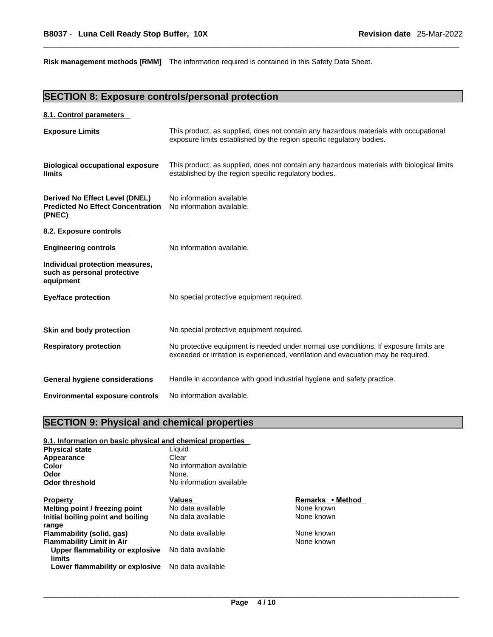**Risk management methods [RMM]** The information required is contained in this Safety Data Sheet.

### **SECTION 8: Exposure controls/personal protection**

#### **8.1. Control parameters**

| <b>Exposure Limits</b>                                                               | This product, as supplied, does not contain any hazardous materials with occupational<br>exposure limits established by the region specific regulatory bodies.              |
|--------------------------------------------------------------------------------------|-----------------------------------------------------------------------------------------------------------------------------------------------------------------------------|
| <b>Biological occupational exposure</b><br>limits                                    | This product, as supplied, does not contain any hazardous materials with biological limits<br>established by the region specific regulatory bodies.                         |
| Derived No Effect Level (DNEL)<br><b>Predicted No Effect Concentration</b><br>(PNEC) | No information available.<br>No information available.                                                                                                                      |
| 8.2. Exposure controls                                                               |                                                                                                                                                                             |
| <b>Engineering controls</b>                                                          | No information available.                                                                                                                                                   |
| Individual protection measures,<br>such as personal protective<br>equipment          |                                                                                                                                                                             |
| <b>Eye/face protection</b>                                                           | No special protective equipment required.                                                                                                                                   |
| Skin and body protection                                                             | No special protective equipment required.                                                                                                                                   |
| <b>Respiratory protection</b>                                                        | No protective equipment is needed under normal use conditions. If exposure limits are<br>exceeded or irritation is experienced, ventilation and evacuation may be required. |
| <b>General hygiene considerations</b>                                                | Handle in accordance with good industrial hygiene and safety practice.                                                                                                      |
| <b>Environmental exposure controls</b>                                               | No information available.                                                                                                                                                   |

### **SECTION 9: Physical and chemical properties**

#### **9.1. Information on basic physical and chemical properties**

| <b>Physical state</b>             | Liauid                   |                  |  |
|-----------------------------------|--------------------------|------------------|--|
| Appearance                        | Clear                    |                  |  |
| Color                             | No information available |                  |  |
| Odor                              | None.                    |                  |  |
| Odor threshold                    | No information available |                  |  |
| <b>Property</b>                   | <b>Values</b>            | Remarks • Method |  |
| Melting point / freezing point    | No data available        | None known       |  |
| Initial boiling point and boiling | No data available        | None known       |  |
| range                             |                          |                  |  |
| Flammability (solid, gas)         | No data available        | None known       |  |
| <b>Flammability Limit in Air</b>  |                          | None known       |  |
| Upper flammability or explosive   | No data available        |                  |  |
| limits                            |                          |                  |  |
| Lower flammability or explosive   | No data available        |                  |  |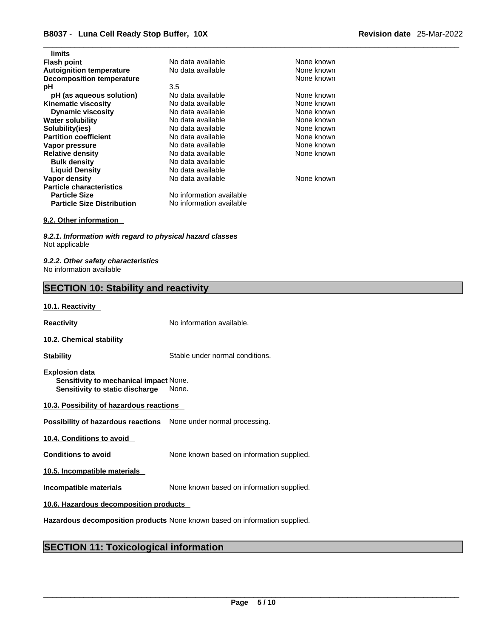| limits                            |                          |            |
|-----------------------------------|--------------------------|------------|
| <b>Flash point</b>                | No data available        | None known |
| <b>Autoignition temperature</b>   | No data available        | None known |
| <b>Decomposition temperature</b>  |                          | None known |
| рH                                | 3.5                      |            |
| pH (as aqueous solution)          | No data available        | None known |
| <b>Kinematic viscosity</b>        | No data available        | None known |
| <b>Dynamic viscosity</b>          | No data available        | None known |
| <b>Water solubility</b>           | No data available        | None known |
| Solubility(ies)                   | No data available        | None known |
| <b>Partition coefficient</b>      | No data available        | None known |
| Vapor pressure                    | No data available        | None known |
| <b>Relative density</b>           | No data available        | None known |
| <b>Bulk density</b>               | No data available        |            |
| <b>Liquid Density</b>             | No data available        |            |
| Vapor density                     | No data available        | None known |
| <b>Particle characteristics</b>   |                          |            |
| <b>Particle Size</b>              | No information available |            |
| <b>Particle Size Distribution</b> | No information available |            |
|                                   |                          |            |

#### **9.2. Other information**

*9.2.1. Information with regard to physical hazard classes* Not applicable

*9.2.2. Other safety characteristics* No information available

### **SECTION 10: Stability and reactivity**

#### **10.1. Reactivity**

**Reactivity No information available.** 

#### **10.2. Chemical stability**

**Stability** Stable under normal conditions.

- **Explosion data Sensitivity to mechanical impact** None. **Sensitivity to static discharge** None.
- **10.3. Possibility of hazardous reactions**

**Possibility of hazardous reactions** None under normal processing.

**10.4. Conditions to avoid** 

**Conditions to avoid** None known based on information supplied.

**10.5. Incompatible materials**

**Incompatible materials** None known based on information supplied.

#### **10.6. Hazardous decomposition products**

**Hazardous decomposition products** None known based on information supplied.

### **SECTION 11: Toxicological information**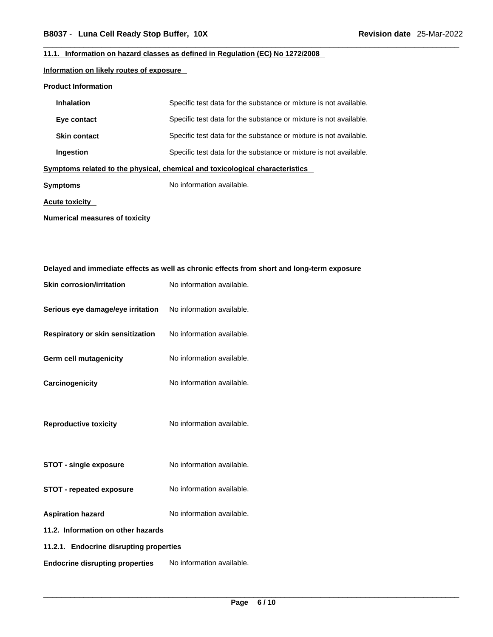#### **11.1. Information on hazard classes as defined in Regulation (EC) No 1272/2008**

#### **Information on likely routes of exposure**

#### **Product Information**

| <b>Inhalation</b>                                                            | Specific test data for the substance or mixture is not available. |  |  |
|------------------------------------------------------------------------------|-------------------------------------------------------------------|--|--|
| Eye contact                                                                  | Specific test data for the substance or mixture is not available. |  |  |
| <b>Skin contact</b>                                                          | Specific test data for the substance or mixture is not available. |  |  |
| Ingestion                                                                    | Specific test data for the substance or mixture is not available. |  |  |
| Symptoms related to the physical, chemical and toxicological characteristics |                                                                   |  |  |
| Symptoms                                                                     | No information available.                                         |  |  |
| Acute toxicity                                                               |                                                                   |  |  |

**Numerical measures of toxicity**

| Delayed and immediate effects as well as chronic effects from short and long-term exposure |                           |  |
|--------------------------------------------------------------------------------------------|---------------------------|--|
| <b>Skin corrosion/irritation</b>                                                           | No information available. |  |
| Serious eye damage/eye irritation                                                          | No information available. |  |
| <b>Respiratory or skin sensitization</b>                                                   | No information available. |  |
| <b>Germ cell mutagenicity</b>                                                              | No information available. |  |
| Carcinogenicity                                                                            | No information available. |  |
| <b>Reproductive toxicity</b>                                                               | No information available. |  |
| <b>STOT - single exposure</b>                                                              | No information available. |  |
| <b>STOT - repeated exposure</b>                                                            | No information available. |  |
| <b>Aspiration hazard</b>                                                                   | No information available. |  |
| 11.2. Information on other hazards                                                         |                           |  |
| 11.2.1. Endocrine disrupting properties                                                    |                           |  |
| <b>Endocrine disrupting properties</b>                                                     | No information available. |  |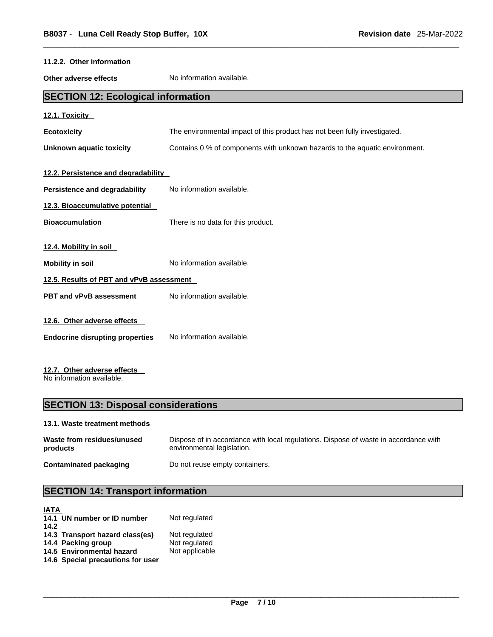| 11.2.2. Other information                 |                                                                             |  |
|-------------------------------------------|-----------------------------------------------------------------------------|--|
| Other adverse effects                     | No information available.                                                   |  |
| <b>SECTION 12: Ecological information</b> |                                                                             |  |
| 12.1. Toxicity                            |                                                                             |  |
| <b>Ecotoxicity</b>                        | The environmental impact of this product has not been fully investigated.   |  |
| <b>Unknown aquatic toxicity</b>           | Contains 0 % of components with unknown hazards to the aquatic environment. |  |
| 12.2. Persistence and degradability       |                                                                             |  |
| <b>Persistence and degradability</b>      | No information available.                                                   |  |
| 12.3. Bioaccumulative potential           |                                                                             |  |
| <b>Bioaccumulation</b>                    | There is no data for this product.                                          |  |
| 12.4. Mobility in soil                    |                                                                             |  |
| <b>Mobility in soil</b>                   | No information available.                                                   |  |
| 12.5. Results of PBT and vPvB assessment  |                                                                             |  |
| <b>PBT and vPvB assessment</b>            | No information available.                                                   |  |
| 12.6. Other adverse effects               |                                                                             |  |
| <b>Endocrine disrupting properties</b>    | No information available.                                                   |  |
| 12.7. Other adverse effects               |                                                                             |  |

No information available.

## **SECTION 13: Disposal considerations**

#### **13.1. Waste treatment methods**

| Waste from residues/unused | Dispose of in accordance with local regulations. Dispose of waste in accordance with |
|----------------------------|--------------------------------------------------------------------------------------|
| products                   | environmental legislation.                                                           |
| Contaminated packaging     | Do not reuse empty containers.                                                       |

# **SECTION 14: Transport information**

| <b>IATA</b> |                                   |                |
|-------------|-----------------------------------|----------------|
|             | 14.1 UN number or ID number       | Not regulated  |
| 14.2        |                                   |                |
|             | 14.3 Transport hazard class(es)   | Not regulated  |
|             | 14.4 Packing group                | Not regulated  |
|             | 14.5 Environmental hazard         | Not applicable |
|             | 14.6 Special precautions for user |                |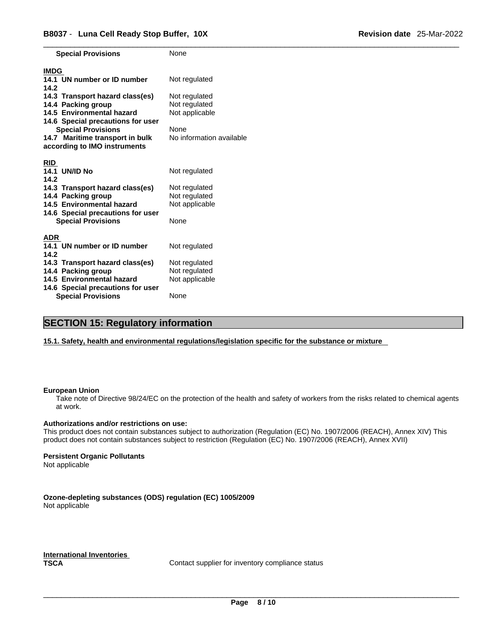| <b>Special Provisions</b>           | None                     |
|-------------------------------------|--------------------------|
| <b>IMDG</b>                         |                          |
| 14.1 UN number or ID number<br>14.2 | Not regulated            |
| 14.3 Transport hazard class(es)     | Not regulated            |
| 14.4 Packing group                  | Not regulated            |
| 14.5 Environmental hazard           | Not applicable           |
| 14.6 Special precautions for user   |                          |
| <b>Special Provisions</b>           | None                     |
| 14.7 Maritime transport in bulk     | No information available |
| according to IMO instruments        |                          |
|                                     |                          |
| <b>RID</b>                          |                          |
| <b>14.1 UN/ID No</b>                | Not regulated            |
| 14.2                                |                          |
| 14.3 Transport hazard class(es)     | Not regulated            |
| 14.4 Packing group                  | Not regulated            |
| 14.5 Environmental hazard           | Not applicable           |
| 14.6 Special precautions for user   |                          |
| <b>Special Provisions</b>           | None                     |
| <b>ADR</b>                          |                          |
| 14.1 UN number or ID number         | Not regulated            |
| 14.2                                |                          |
| 14.3 Transport hazard class(es)     | Not regulated            |
| 14.4 Packing group                  | Not regulated            |
| 14.5 Environmental hazard           | Not applicable           |
| 14.6 Special precautions for user   |                          |
| <b>Special Provisions</b>           | None                     |

### **SECTION 15: Regulatory information**

**15.1. Safety, health and environmental regulations/legislation specific for the substance or mixture**

#### **European Union**

Take note of Directive 98/24/EC on the protection of the health and safety of workers from the risks related to chemical agents at work.

#### **Authorizations and/or restrictions on use:**

This product does not contain substances subject to authorization (Regulation (EC) No. 1907/2006 (REACH), Annex XIV) This product does not contain substances subject to restriction (Regulation (EC) No. 1907/2006 (REACH), Annex XVII)

#### **Persistent Organic Pollutants**

Not applicable

**Ozone-depleting substances (ODS) regulation (EC) 1005/2009** Not applicable

**International Inventories**

Contact supplier for inventory compliance status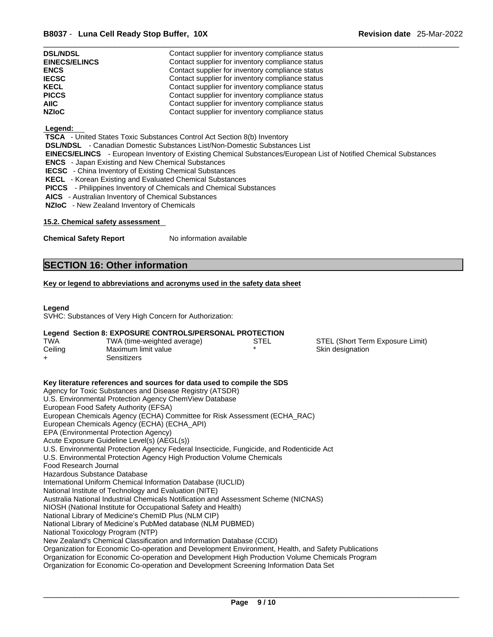| <b>DSL/NDSL</b>      | Contact supplier for inventory compliance status |
|----------------------|--------------------------------------------------|
| <b>EINECS/ELINCS</b> | Contact supplier for inventory compliance status |
| <b>ENCS</b>          | Contact supplier for inventory compliance status |
| <b>IECSC</b>         | Contact supplier for inventory compliance status |
| <b>KECL</b>          | Contact supplier for inventory compliance status |
| <b>PICCS</b>         | Contact supplier for inventory compliance status |
| <b>AIIC</b>          | Contact supplier for inventory compliance status |
| <b>NZIoC</b>         | Contact supplier for inventory compliance status |

#### **Legend:**

 **TSCA** - United States Toxic Substances Control Act Section 8(b) Inventory

 **DSL/NDSL** - Canadian Domestic Substances List/Non-Domestic Substances List

 **EINECS/ELINCS** - European Inventory of Existing Chemical Substances/European List of Notified Chemical Substances

 **ENCS** - Japan Existing and New Chemical Substances

 **IECSC** - China Inventory of Existing Chemical Substances

 **KECL** - Korean Existing and Evaluated Chemical Substances

 **PICCS** - Philippines Inventory of Chemicals and Chemical Substances

 **AICS** - Australian Inventory of Chemical Substances

 **NZIoC** - New Zealand Inventory of Chemicals

#### **15.2. Chemical safety assessment**

**Chemical Safety Report** No information available

### **SECTION 16: Other information**

#### **Key or legend to abbreviations and acronyms used in the safety data sheet**

#### **Legend**

SVHC: Substances of Very High Concern for Authorization:

#### **Legend Section 8: EXPOSURE CONTROLS/PERSONAL PROTECTION**

| TWA     | TWA (time-weighted average) | STEL | STEL (Short Term Exposure Limit) |
|---------|-----------------------------|------|----------------------------------|
| Ceiling | Maximum limit value         |      | Skin designation                 |
|         | 3ensitizers                 |      |                                  |

| Key literature references and sources for data used to compile the SDS                              |
|-----------------------------------------------------------------------------------------------------|
| Agency for Toxic Substances and Disease Registry (ATSDR)                                            |
| U.S. Environmental Protection Agency ChemView Database                                              |
| European Food Safety Authority (EFSA)                                                               |
| European Chemicals Agency (ECHA) Committee for Risk Assessment (ECHA_RAC)                           |
| European Chemicals Agency (ECHA) (ECHA_API)                                                         |
| EPA (Environmental Protection Agency)                                                               |
| Acute Exposure Guideline Level(s) (AEGL(s))                                                         |
| U.S. Environmental Protection Agency Federal Insecticide, Fungicide, and Rodenticide Act            |
| U.S. Environmental Protection Agency High Production Volume Chemicals                               |
| Food Research Journal                                                                               |
| Hazardous Substance Database                                                                        |
| International Uniform Chemical Information Database (IUCLID)                                        |
| National Institute of Technology and Evaluation (NITE)                                              |
| Australia National Industrial Chemicals Notification and Assessment Scheme (NICNAS)                 |
| NIOSH (National Institute for Occupational Safety and Health)                                       |
| National Library of Medicine's ChemID Plus (NLM CIP)                                                |
| National Library of Medicine's PubMed database (NLM PUBMED)                                         |
| National Toxicology Program (NTP)                                                                   |
| New Zealand's Chemical Classification and Information Database (CCID)                               |
| Organization for Economic Co-operation and Development Environment, Health, and Safety Publications |
| Organization for Economic Co-operation and Development High Production Volume Chemicals Program     |
| Organization for Economic Co-operation and Development Screening Information Data Set               |
|                                                                                                     |